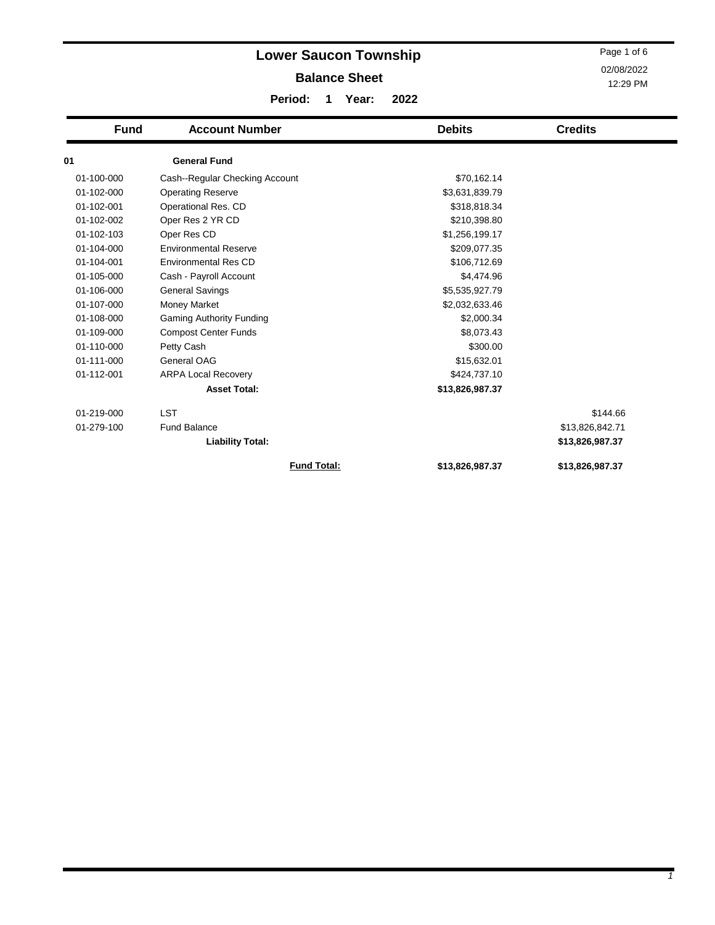|             | <b>Lower Saucon Township</b>    |                    |       |      |                 | Page 1 of 6     |  |  |
|-------------|---------------------------------|--------------------|-------|------|-----------------|-----------------|--|--|
|             | <b>Balance Sheet</b>            |                    |       |      |                 |                 |  |  |
|             |                                 |                    |       |      |                 | 12:29 PM        |  |  |
|             | Period:                         |                    | Year: | 2022 |                 |                 |  |  |
| <b>Fund</b> | <b>Account Number</b>           |                    |       |      | <b>Debits</b>   | <b>Credits</b>  |  |  |
| 01          | <b>General Fund</b>             |                    |       |      |                 |                 |  |  |
| 01-100-000  | Cash--Regular Checking Account  |                    |       |      | \$70,162.14     |                 |  |  |
| 01-102-000  | <b>Operating Reserve</b>        |                    |       |      | \$3,631,839.79  |                 |  |  |
| 01-102-001  | Operational Res. CD             |                    |       |      | \$318,818.34    |                 |  |  |
| 01-102-002  | Oper Res 2 YR CD                |                    |       |      | \$210,398.80    |                 |  |  |
| 01-102-103  | Oper Res CD                     |                    |       |      | \$1,256,199.17  |                 |  |  |
| 01-104-000  | <b>Environmental Reserve</b>    |                    |       |      | \$209,077.35    |                 |  |  |
| 01-104-001  | <b>Environmental Res CD</b>     |                    |       |      | \$106,712.69    |                 |  |  |
| 01-105-000  | Cash - Payroll Account          |                    |       |      | \$4,474.96      |                 |  |  |
| 01-106-000  | <b>General Savings</b>          |                    |       |      | \$5,535,927.79  |                 |  |  |
| 01-107-000  | Money Market                    |                    |       |      | \$2,032,633.46  |                 |  |  |
| 01-108-000  | <b>Gaming Authority Funding</b> |                    |       |      | \$2,000.34      |                 |  |  |
| 01-109-000  | <b>Compost Center Funds</b>     |                    |       |      | \$8,073.43      |                 |  |  |
| 01-110-000  | Petty Cash                      |                    |       |      | \$300.00        |                 |  |  |
| 01-111-000  | General OAG                     |                    |       |      | \$15,632.01     |                 |  |  |
| 01-112-001  | <b>ARPA Local Recovery</b>      |                    |       |      | \$424,737.10    |                 |  |  |
|             | <b>Asset Total:</b>             |                    |       |      | \$13,826,987.37 |                 |  |  |
| 01-219-000  | <b>LST</b>                      |                    |       |      |                 | \$144.66        |  |  |
| 01-279-100  | <b>Fund Balance</b>             |                    |       |      |                 | \$13,826,842.71 |  |  |
|             | <b>Liability Total:</b>         |                    |       |      |                 | \$13,826,987.37 |  |  |
|             |                                 | <b>Fund Total:</b> |       |      | \$13,826,987.37 | \$13,826,987.37 |  |  |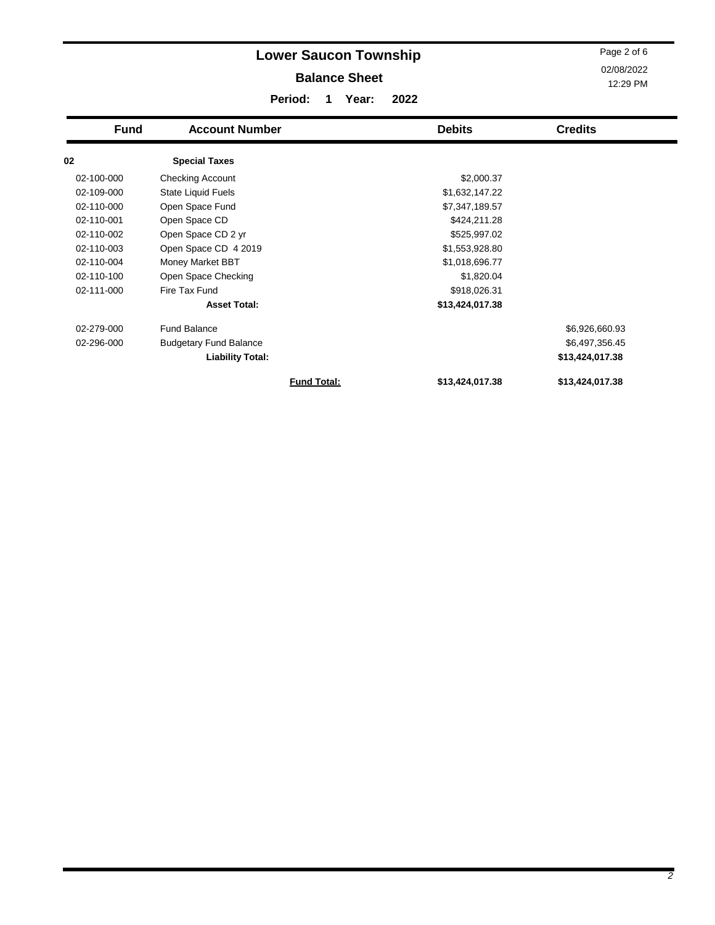| Page 2 of 6<br><b>Lower Saucon Township</b><br>02/08/2022<br><b>Balance Sheet</b><br>12:29 PM<br>Period:<br>2022<br>Year:<br>1 |                               |                    |                 |                 |  |  |  |
|--------------------------------------------------------------------------------------------------------------------------------|-------------------------------|--------------------|-----------------|-----------------|--|--|--|
| <b>Fund</b>                                                                                                                    | <b>Account Number</b>         |                    | <b>Debits</b>   | <b>Credits</b>  |  |  |  |
| 02                                                                                                                             | <b>Special Taxes</b>          |                    |                 |                 |  |  |  |
| 02-100-000                                                                                                                     | Checking Account              |                    | \$2,000.37      |                 |  |  |  |
| 02-109-000                                                                                                                     | State Liquid Fuels            |                    | \$1,632,147.22  |                 |  |  |  |
| 02-110-000                                                                                                                     | Open Space Fund               |                    | \$7,347,189.57  |                 |  |  |  |
| 02-110-001                                                                                                                     | Open Space CD                 |                    | \$424,211.28    |                 |  |  |  |
| 02-110-002                                                                                                                     | Open Space CD 2 yr            |                    | \$525,997.02    |                 |  |  |  |
| 02-110-003                                                                                                                     | Open Space CD 4 2019          |                    | \$1,553,928.80  |                 |  |  |  |
| 02-110-004                                                                                                                     | Money Market BBT              |                    | \$1,018,696.77  |                 |  |  |  |
| 02-110-100                                                                                                                     | Open Space Checking           |                    | \$1,820.04      |                 |  |  |  |
| 02-111-000                                                                                                                     | Fire Tax Fund                 |                    | \$918,026.31    |                 |  |  |  |
|                                                                                                                                | <b>Asset Total:</b>           |                    | \$13,424,017.38 |                 |  |  |  |
| 02-279-000                                                                                                                     | <b>Fund Balance</b>           |                    |                 | \$6,926,660.93  |  |  |  |
| 02-296-000                                                                                                                     | <b>Budgetary Fund Balance</b> |                    |                 | \$6,497,356.45  |  |  |  |
|                                                                                                                                | <b>Liability Total:</b>       |                    |                 | \$13,424,017.38 |  |  |  |
|                                                                                                                                |                               | <b>Fund Total:</b> | \$13,424,017.38 | \$13,424,017.38 |  |  |  |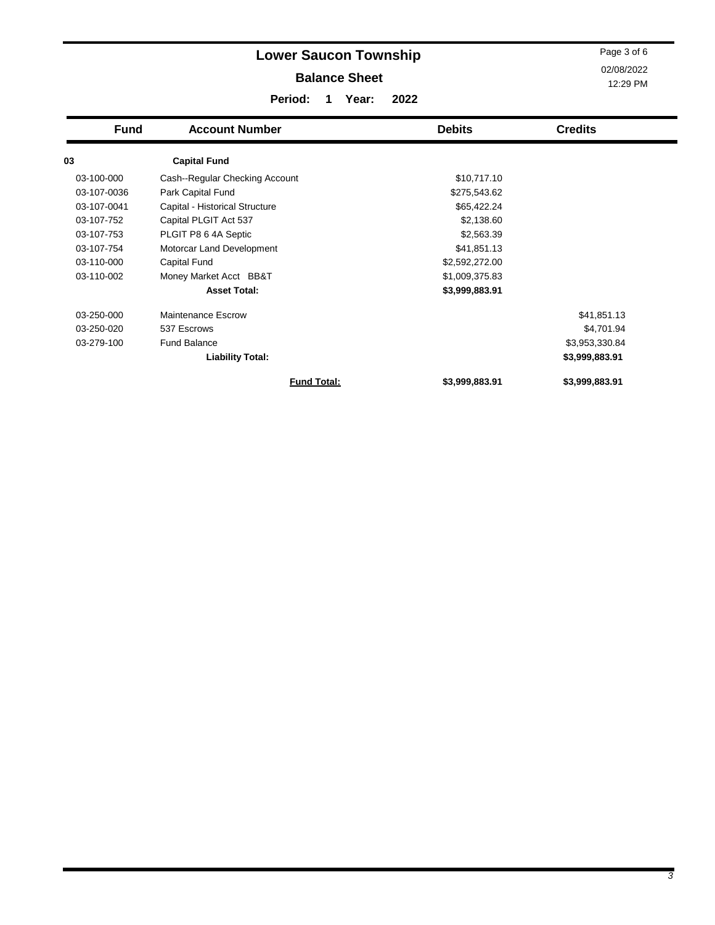#### **Balance Sheet**

02/08/2022 12:29 PM Page 3 of 6

**Period: 1 Year: 2022**

| <b>Fund</b> | <b>Account Number</b>          | <b>Debits</b>  | <b>Credits</b> |
|-------------|--------------------------------|----------------|----------------|
| 03          | <b>Capital Fund</b>            |                |                |
| 03-100-000  | Cash--Regular Checking Account | \$10,717.10    |                |
| 03-107-0036 | Park Capital Fund              | \$275,543.62   |                |
| 03-107-0041 | Capital - Historical Structure | \$65,422.24    |                |
| 03-107-752  | Capital PLGIT Act 537          | \$2,138.60     |                |
| 03-107-753  | PLGIT P8 6 4A Septic           | \$2,563.39     |                |
| 03-107-754  | Motorcar Land Development      | \$41,851.13    |                |
| 03-110-000  | Capital Fund                   | \$2,592,272.00 |                |
| 03-110-002  | Money Market Acct BB&T         | \$1,009,375.83 |                |
|             | <b>Asset Total:</b>            | \$3,999,883.91 |                |
| 03-250-000  | Maintenance Escrow             |                | \$41,851.13    |
| 03-250-020  | 537 Escrows                    |                | \$4,701.94     |
| 03-279-100  | Fund Balance                   |                | \$3,953,330.84 |
|             | <b>Liability Total:</b>        |                | \$3,999,883.91 |
|             | <b>Fund Total:</b>             | \$3,999,883.91 | \$3,999,883.91 |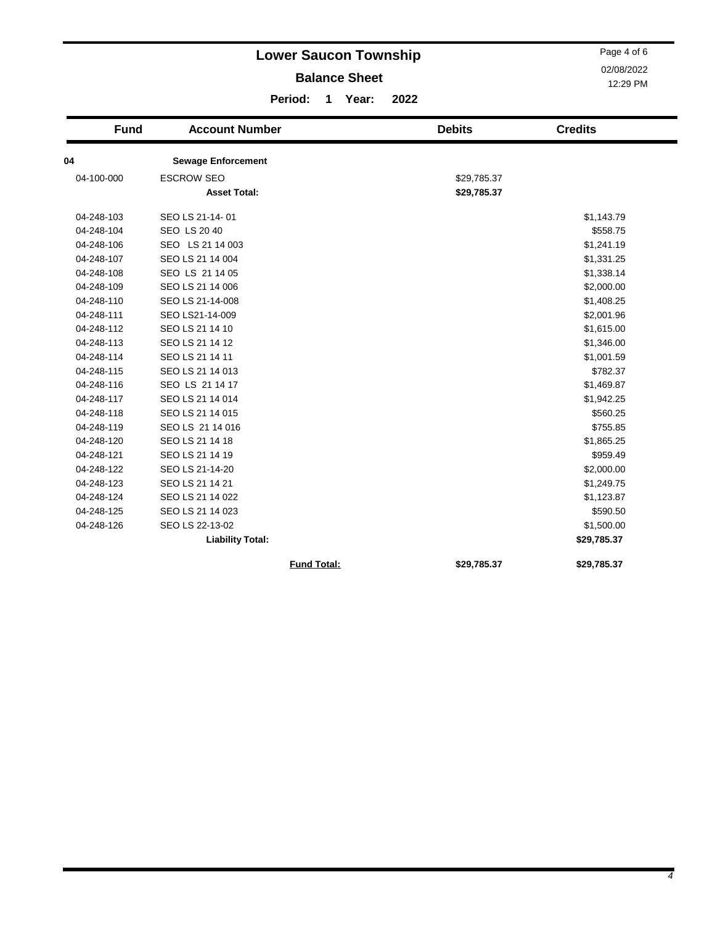|             | Page 4 of 6<br>02/08/2022<br>12:29 PM    |                       |                            |                |
|-------------|------------------------------------------|-----------------------|----------------------------|----------------|
|             | Period:                                  | $\mathbf{1}$<br>Year: | 2022                       |                |
| <b>Fund</b> | <b>Account Number</b>                    |                       | <b>Debits</b>              | <b>Credits</b> |
| 04          | <b>Sewage Enforcement</b>                |                       |                            |                |
| 04-100-000  | <b>ESCROW SEO</b><br><b>Asset Total:</b> |                       | \$29,785.37<br>\$29,785.37 |                |
| 04-248-103  | SEO LS 21-14-01                          |                       |                            | \$1,143.79     |
| 04-248-104  | <b>SEO LS 20 40</b>                      |                       |                            | \$558.75       |
| 04-248-106  | SEO LS 21 14 003                         |                       |                            | \$1,241.19     |
| 04-248-107  | SEO LS 21 14 004                         |                       |                            | \$1,331.25     |
| 04-248-108  | SEO LS 21 14 05                          |                       |                            | \$1,338.14     |
| 04-248-109  | SEO LS 21 14 006                         |                       |                            | \$2,000.00     |
| 04-248-110  | SEO LS 21-14-008                         |                       |                            | \$1,408.25     |
| 04-248-111  | SEO LS21-14-009                          |                       |                            | \$2,001.96     |
| 04-248-112  | SEO LS 21 14 10                          |                       |                            | \$1,615.00     |
| 04-248-113  | SEO LS 21 14 12                          |                       |                            | \$1,346.00     |
| 04-248-114  | SEO LS 21 14 11                          |                       |                            | \$1,001.59     |
| 04-248-115  | SEO LS 21 14 013                         |                       |                            | \$782.37       |
| 04-248-116  | SEO LS 21 14 17                          |                       |                            | \$1,469.87     |
| 04-248-117  | SEO LS 21 14 014                         |                       |                            | \$1,942.25     |
| 04-248-118  | SEO LS 21 14 015                         |                       |                            | \$560.25       |
| 04-248-119  | SEO LS 21 14 016                         |                       |                            | \$755.85       |
| 04-248-120  | SEO LS 21 14 18                          |                       |                            | \$1,865.25     |
| 04-248-121  | SEO LS 21 14 19                          |                       |                            | \$959.49       |
| 04-248-122  | SEO LS 21-14-20                          |                       |                            | \$2,000.00     |
| 04-248-123  | SEO LS 21 14 21                          |                       |                            | \$1,249.75     |
| 04-248-124  | SEO LS 21 14 022                         |                       |                            | \$1,123.87     |
| 04-248-125  | SEO LS 21 14 023                         |                       |                            | \$590.50       |
| 04-248-126  | SEO LS 22-13-02                          |                       |                            | \$1,500.00     |
|             | <b>Liability Total:</b>                  |                       |                            | \$29,785.37    |
|             |                                          | <b>Fund Total:</b>    | \$29,785.37                | \$29,785.37    |

 $\blacksquare$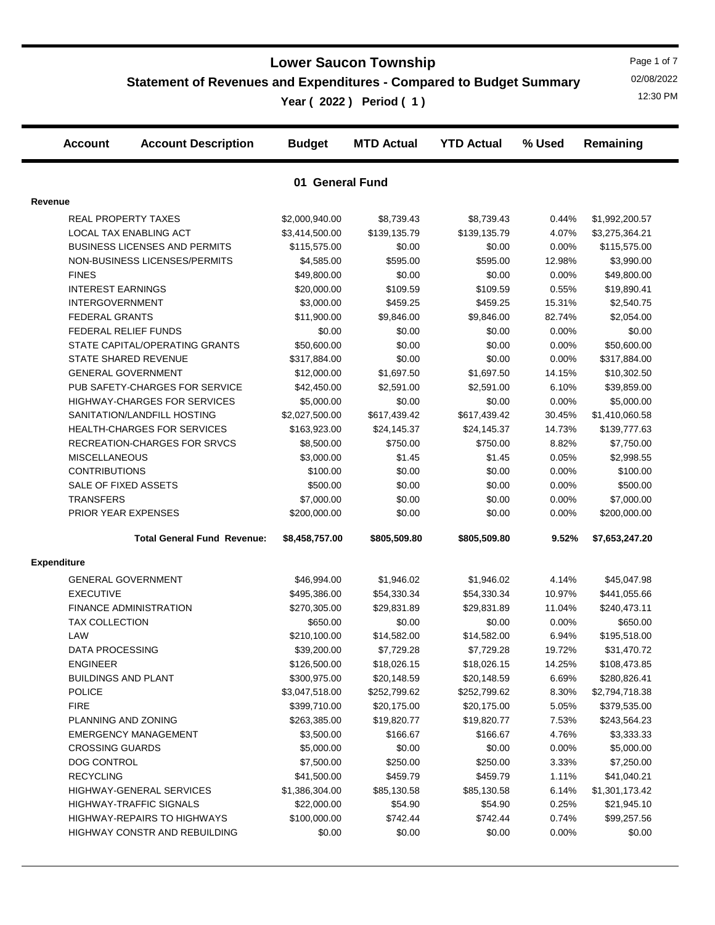#### **Statement of Revenues and Expenditures - Compared to Budget Summary**

**Year ( 2022 ) Period ( 1 )** 12:30 PM

Page 1 of 7 02/08/2022

|         | <b>Account</b>             | <b>Account Description</b>           | <b>Budget</b>   | <b>MTD Actual</b> | <b>YTD Actual</b> | % Used | Remaining      |  |
|---------|----------------------------|--------------------------------------|-----------------|-------------------|-------------------|--------|----------------|--|
|         |                            |                                      | 01 General Fund |                   |                   |        |                |  |
| Revenue |                            |                                      |                 |                   |                   |        |                |  |
|         |                            | <b>REAL PROPERTY TAXES</b>           | \$2,000,940.00  | \$8,739.43        | \$8,739.43        | 0.44%  | \$1,992,200.57 |  |
|         |                            | LOCAL TAX ENABLING ACT               | \$3,414,500.00  | \$139,135.79      | \$139,135.79      | 4.07%  | \$3,275,364.21 |  |
|         |                            | <b>BUSINESS LICENSES AND PERMITS</b> | \$115,575.00    | \$0.00            | \$0.00            | 0.00%  | \$115,575.00   |  |
|         |                            | NON-BUSINESS LICENSES/PERMITS        | \$4,585.00      | \$595.00          | \$595.00          | 12.98% | \$3,990.00     |  |
|         | <b>FINES</b>               |                                      | \$49,800.00     | \$0.00            | \$0.00            | 0.00%  | \$49,800.00    |  |
|         | <b>INTEREST EARNINGS</b>   |                                      | \$20,000.00     | \$109.59          | \$109.59          | 0.55%  | \$19,890.41    |  |
|         | <b>INTERGOVERNMENT</b>     |                                      | \$3,000.00      | \$459.25          | \$459.25          | 15.31% | \$2,540.75     |  |
|         | <b>FEDERAL GRANTS</b>      |                                      | \$11,900.00     | \$9,846.00        | \$9,846.00        | 82.74% | \$2,054.00     |  |
|         |                            | FEDERAL RELIEF FUNDS                 | \$0.00          | \$0.00            | \$0.00            | 0.00%  | \$0.00         |  |
|         |                            | STATE CAPITAL/OPERATING GRANTS       | \$50,600.00     | \$0.00            | \$0.00            | 0.00%  | \$50,600.00    |  |
|         |                            | <b>STATE SHARED REVENUE</b>          | \$317,884.00    | \$0.00            | \$0.00            | 0.00%  | \$317,884.00   |  |
|         |                            | <b>GENERAL GOVERNMENT</b>            | \$12,000.00     | \$1,697.50        | \$1,697.50        | 14.15% | \$10,302.50    |  |
|         |                            | PUB SAFETY-CHARGES FOR SERVICE       | \$42,450.00     | \$2,591.00        | \$2,591.00        | 6.10%  | \$39,859.00    |  |
|         |                            | <b>HIGHWAY-CHARGES FOR SERVICES</b>  | \$5,000.00      | \$0.00            | \$0.00            | 0.00%  | \$5,000.00     |  |
|         |                            | SANITATION/LANDFILL HOSTING          | \$2,027,500.00  | \$617,439.42      | \$617,439.42      | 30.45% | \$1,410,060.58 |  |
|         |                            | <b>HEALTH-CHARGES FOR SERVICES</b>   | \$163,923.00    | \$24,145.37       | \$24,145.37       | 14.73% | \$139,777.63   |  |
|         |                            | RECREATION-CHARGES FOR SRVCS         | \$8,500.00      | \$750.00          | \$750.00          | 8.82%  | \$7,750.00     |  |
|         | <b>MISCELLANEOUS</b>       |                                      | \$3,000.00      | \$1.45            | \$1.45            | 0.05%  | \$2,998.55     |  |
|         | <b>CONTRIBUTIONS</b>       |                                      | \$100.00        | \$0.00            | \$0.00            | 0.00%  | \$100.00       |  |
|         | SALE OF FIXED ASSETS       |                                      | \$500.00        | \$0.00            | \$0.00            | 0.00%  | \$500.00       |  |
|         | <b>TRANSFERS</b>           |                                      | \$7,000.00      | \$0.00            | \$0.00            | 0.00%  | \$7,000.00     |  |
|         |                            | PRIOR YEAR EXPENSES                  | \$200,000.00    | \$0.00            | \$0.00            | 0.00%  | \$200,000.00   |  |
|         |                            | <b>Total General Fund Revenue:</b>   | \$8,458,757.00  | \$805,509.80      | \$805,509.80      | 9.52%  | \$7,653,247.20 |  |
|         | <b>Expenditure</b>         |                                      |                 |                   |                   |        |                |  |
|         |                            | <b>GENERAL GOVERNMENT</b>            | \$46,994.00     | \$1,946.02        | \$1,946.02        | 4.14%  | \$45,047.98    |  |
|         | <b>EXECUTIVE</b>           |                                      | \$495,386.00    | \$54,330.34       | \$54,330.34       | 10.97% | \$441,055.66   |  |
|         |                            | <b>FINANCE ADMINISTRATION</b>        | \$270,305.00    | \$29,831.89       | \$29,831.89       | 11.04% | \$240,473.11   |  |
|         | <b>TAX COLLECTION</b>      |                                      | \$650.00        | \$0.00            | \$0.00            | 0.00%  | \$650.00       |  |
|         | LAW                        |                                      | \$210,100.00    | \$14,582.00       | \$14,582.00       | 6.94%  | \$195,518.00   |  |
|         | DATA PROCESSING            |                                      | \$39,200.00     | \$7,729.28        | \$7,729.28        | 19.72% | \$31,470.72    |  |
|         | <b>ENGINEER</b>            |                                      | \$126,500.00    | \$18,026.15       | \$18,026.15       | 14.25% | \$108,473.85   |  |
|         | <b>BUILDINGS AND PLANT</b> |                                      | \$300,975.00    | \$20,148.59       | \$20,148.59       | 6.69%  | \$280,826.41   |  |
|         | <b>POLICE</b>              |                                      | \$3,047,518.00  | \$252,799.62      | \$252,799.62      | 8.30%  | \$2,794,718.38 |  |
|         | <b>FIRE</b>                |                                      | \$399,710.00    | \$20,175.00       | \$20,175.00       | 5.05%  | \$379,535.00   |  |
|         | PLANNING AND ZONING        |                                      | \$263,385.00    | \$19,820.77       | \$19,820.77       | 7.53%  | \$243,564.23   |  |
|         |                            | <b>EMERGENCY MANAGEMENT</b>          | \$3,500.00      | \$166.67          | \$166.67          | 4.76%  | \$3,333.33     |  |
|         | <b>CROSSING GUARDS</b>     |                                      | \$5,000.00      | \$0.00            | \$0.00            | 0.00%  | \$5,000.00     |  |
|         | <b>DOG CONTROL</b>         |                                      | \$7,500.00      | \$250.00          | \$250.00          | 3.33%  | \$7,250.00     |  |
|         | <b>RECYCLING</b>           |                                      | \$41,500.00     | \$459.79          | \$459.79          | 1.11%  | \$41,040.21    |  |
|         |                            | HIGHWAY-GENERAL SERVICES             | \$1,386,304.00  | \$85,130.58       | \$85,130.58       | 6.14%  | \$1,301,173.42 |  |
|         |                            | <b>HIGHWAY-TRAFFIC SIGNALS</b>       | \$22,000.00     | \$54.90           | \$54.90           | 0.25%  | \$21,945.10    |  |
|         |                            | HIGHWAY-REPAIRS TO HIGHWAYS          | \$100,000.00    | \$742.44          | \$742.44          | 0.74%  | \$99,257.56    |  |
|         |                            | HIGHWAY CONSTR AND REBUILDING        | \$0.00          | \$0.00            | \$0.00            | 0.00%  | \$0.00         |  |
|         |                            |                                      |                 |                   |                   |        |                |  |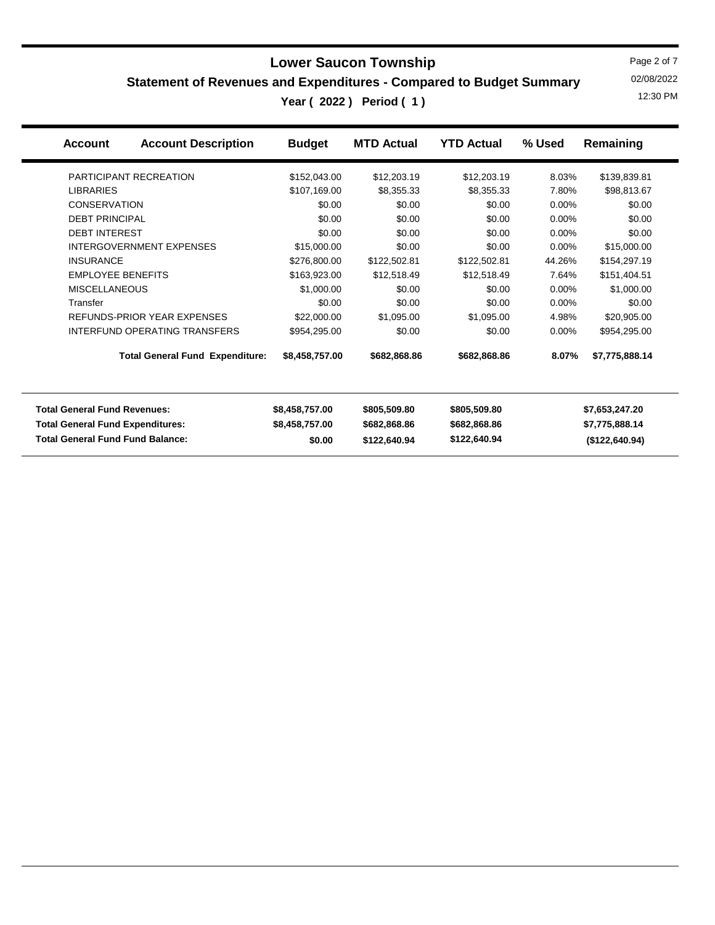**Statement of Revenues and Expenditures - Compared to Budget Summary**

**Year ( 2022 ) Period ( 1 )** 12:30 PM

Page 2 of 7 02/08/2022

| <b>Account Description</b><br><b>Account</b> | <b>Budget</b>  | <b>MTD Actual</b> | <b>YTD Actual</b> | % Used   | Remaining      |
|----------------------------------------------|----------------|-------------------|-------------------|----------|----------------|
| PARTICIPANT RECREATION                       | \$152,043.00   | \$12,203.19       | \$12,203.19       | 8.03%    | \$139,839.81   |
| <b>LIBRARIES</b>                             | \$107,169.00   | \$8,355.33        | \$8,355.33        | 7.80%    | \$98,813.67    |
| <b>CONSERVATION</b>                          | \$0.00         | \$0.00            | \$0.00            | 0.00%    | \$0.00         |
| <b>DEBT PRINCIPAL</b>                        | \$0.00         | \$0.00            | \$0.00            | 0.00%    | \$0.00         |
| <b>DEBT INTEREST</b>                         | \$0.00         | \$0.00            | \$0.00            | $0.00\%$ | \$0.00         |
| <b>INTERGOVERNMENT EXPENSES</b>              | \$15,000.00    | \$0.00            | \$0.00            | $0.00\%$ | \$15,000.00    |
| <b>INSURANCE</b>                             | \$276,800.00   | \$122,502.81      | \$122,502.81      | 44.26%   | \$154,297.19   |
| <b>EMPLOYEE BENEFITS</b>                     | \$163,923.00   | \$12,518.49       | \$12,518.49       | 7.64%    | \$151,404.51   |
| <b>MISCELLANEOUS</b>                         | \$1,000.00     | \$0.00            | \$0.00            | 0.00%    | \$1,000.00     |
| Transfer                                     | \$0.00         | \$0.00            | \$0.00            | 0.00%    | \$0.00         |
| REFUNDS-PRIOR YEAR EXPENSES                  | \$22,000.00    | \$1,095.00        | \$1,095.00        | 4.98%    | \$20,905.00    |
| INTERFUND OPERATING TRANSFERS                | \$954,295.00   | \$0.00            | \$0.00            | $0.00\%$ | \$954,295.00   |
| <b>Total General Fund Expenditure:</b>       | \$8,458,757.00 | \$682,868.86      | \$682,868.86      | 8.07%    | \$7,775,888.14 |
| <b>Total General Fund Revenues:</b>          | \$8,458,757.00 | \$805,509.80      | \$805,509.80      |          | \$7,653,247.20 |
| <b>Total General Fund Expenditures:</b>      | \$8,458,757.00 | \$682,868.86      | \$682,868.86      |          | \$7,775,888.14 |
| <b>Total General Fund Fund Balance:</b>      | \$0.00         | \$122,640.94      | \$122,640.94      |          | (\$122,640.94) |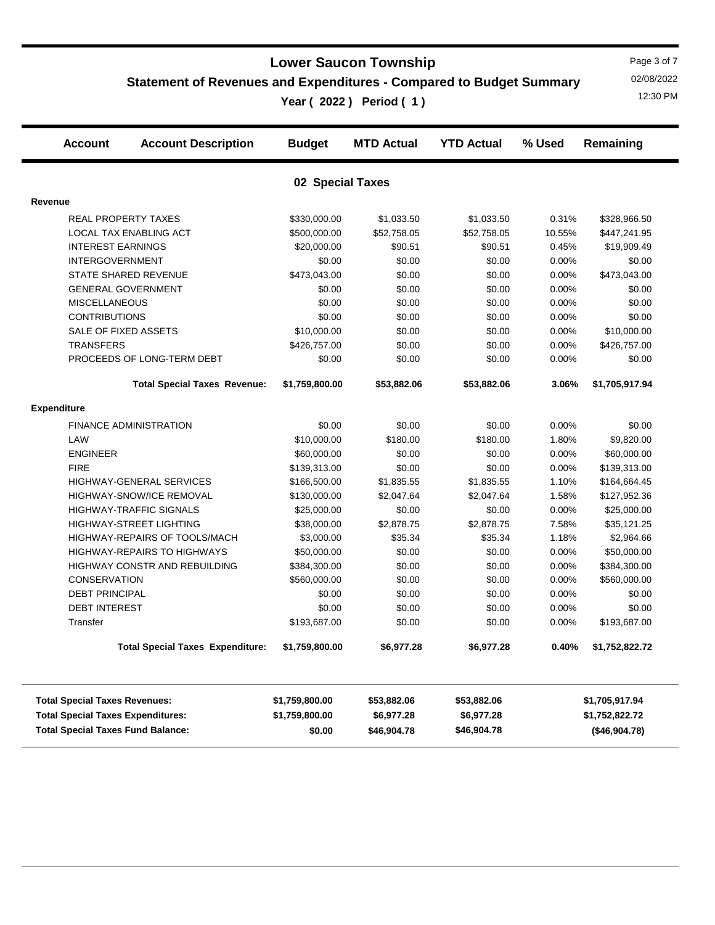**Statement of Revenues and Expenditures - Compared to Budget Summary**

**Year ( 2022 ) Period ( 1 )** 12:30 PM

Page 3 of 7 02/08/2022

| <b>Account</b>                           | <b>Account Description</b>              | <b>Budget</b>  | <b>MTD Actual</b> | <b>YTD Actual</b> | % Used | Remaining      |  |  |  |  |  |
|------------------------------------------|-----------------------------------------|----------------|-------------------|-------------------|--------|----------------|--|--|--|--|--|
| 02 Special Taxes                         |                                         |                |                   |                   |        |                |  |  |  |  |  |
| Revenue                                  |                                         |                |                   |                   |        |                |  |  |  |  |  |
| <b>REAL PROPERTY TAXES</b>               |                                         | \$330,000.00   | \$1,033.50        | \$1,033.50        | 0.31%  | \$328,966.50   |  |  |  |  |  |
| LOCAL TAX ENABLING ACT                   |                                         | \$500,000.00   | \$52,758.05       | \$52,758.05       | 10.55% | \$447,241.95   |  |  |  |  |  |
| <b>INTEREST EARNINGS</b>                 |                                         | \$20,000.00    | \$90.51           | \$90.51           | 0.45%  | \$19,909.49    |  |  |  |  |  |
| <b>INTERGOVERNMENT</b>                   |                                         | \$0.00         | \$0.00            | \$0.00            | 0.00%  | \$0.00         |  |  |  |  |  |
| <b>STATE SHARED REVENUE</b>              |                                         | \$473,043.00   | \$0.00            | \$0.00            | 0.00%  | \$473,043.00   |  |  |  |  |  |
| <b>GENERAL GOVERNMENT</b>                |                                         | \$0.00         | \$0.00            | \$0.00            | 0.00%  | \$0.00         |  |  |  |  |  |
| <b>MISCELLANEOUS</b>                     |                                         | \$0.00         | \$0.00            | \$0.00            | 0.00%  | \$0.00         |  |  |  |  |  |
| <b>CONTRIBUTIONS</b>                     |                                         | \$0.00         | \$0.00            | \$0.00            | 0.00%  | \$0.00         |  |  |  |  |  |
| SALE OF FIXED ASSETS                     |                                         | \$10,000.00    | \$0.00            | \$0.00            | 0.00%  | \$10,000.00    |  |  |  |  |  |
| <b>TRANSFERS</b>                         |                                         | \$426,757.00   | \$0.00            | \$0.00            | 0.00%  | \$426,757.00   |  |  |  |  |  |
|                                          | PROCEEDS OF LONG-TERM DEBT              | \$0.00         | \$0.00            | \$0.00            | 0.00%  | \$0.00         |  |  |  |  |  |
|                                          | <b>Total Special Taxes Revenue:</b>     | \$1,759,800.00 | \$53,882.06       | \$53,882.06       | 3.06%  | \$1,705,917.94 |  |  |  |  |  |
| <b>Expenditure</b>                       |                                         |                |                   |                   |        |                |  |  |  |  |  |
| <b>FINANCE ADMINISTRATION</b>            |                                         | \$0.00         | \$0.00            | \$0.00            | 0.00%  | \$0.00         |  |  |  |  |  |
| LAW                                      |                                         | \$10,000.00    | \$180.00          | \$180.00          | 1.80%  | \$9,820.00     |  |  |  |  |  |
| <b>ENGINEER</b>                          |                                         | \$60,000.00    | \$0.00            | \$0.00            | 0.00%  | \$60,000.00    |  |  |  |  |  |
| <b>FIRE</b>                              |                                         | \$139,313.00   | \$0.00            | \$0.00            | 0.00%  | \$139,313.00   |  |  |  |  |  |
|                                          | <b>HIGHWAY-GENERAL SERVICES</b>         | \$166,500.00   | \$1,835.55        | \$1,835.55        | 1.10%  | \$164,664.45   |  |  |  |  |  |
|                                          | <b>HIGHWAY-SNOW/ICE REMOVAL</b>         | \$130,000.00   | \$2,047.64        | \$2,047.64        | 1.58%  | \$127,952.36   |  |  |  |  |  |
| <b>HIGHWAY-TRAFFIC SIGNALS</b>           |                                         | \$25,000.00    | \$0.00            | \$0.00            | 0.00%  | \$25,000.00    |  |  |  |  |  |
| HIGHWAY-STREET LIGHTING                  |                                         | \$38,000.00    | \$2,878.75        | \$2,878.75        | 7.58%  | \$35,121.25    |  |  |  |  |  |
|                                          | HIGHWAY-REPAIRS OF TOOLS/MACH           | \$3,000.00     | \$35.34           | \$35.34           | 1.18%  | \$2,964.66     |  |  |  |  |  |
|                                          | <b>HIGHWAY-REPAIRS TO HIGHWAYS</b>      | \$50,000.00    | \$0.00            | \$0.00            | 0.00%  | \$50,000.00    |  |  |  |  |  |
|                                          | HIGHWAY CONSTR AND REBUILDING           | \$384,300.00   | \$0.00            | \$0.00            | 0.00%  | \$384,300.00   |  |  |  |  |  |
| <b>CONSERVATION</b>                      |                                         | \$560,000.00   | \$0.00            | \$0.00            | 0.00%  | \$560,000.00   |  |  |  |  |  |
| <b>DEBT PRINCIPAL</b>                    |                                         | \$0.00         | \$0.00            | \$0.00            | 0.00%  | \$0.00         |  |  |  |  |  |
| <b>DEBT INTEREST</b>                     |                                         | \$0.00         | \$0.00            | \$0.00            | 0.00%  | \$0.00         |  |  |  |  |  |
| Transfer                                 |                                         | \$193,687.00   | \$0.00            | \$0.00            | 0.00%  | \$193,687.00   |  |  |  |  |  |
|                                          | <b>Total Special Taxes Expenditure:</b> | \$1,759,800.00 | \$6,977.28        | \$6,977.28        | 0.40%  | \$1,752,822.72 |  |  |  |  |  |
| <b>Total Special Taxes Revenues:</b>     |                                         | \$1,759,800.00 | \$53,882.06       | \$53,882.06       |        | \$1,705,917.94 |  |  |  |  |  |
| <b>Total Special Taxes Expenditures:</b> |                                         | \$1,759,800.00 | \$6,977.28        | \$6,977.28        |        | \$1,752,822.72 |  |  |  |  |  |
| <b>Total Special Taxes Fund Balance:</b> |                                         | \$0.00         | \$46,904.78       | \$46,904.78       |        | (\$46,904.78)  |  |  |  |  |  |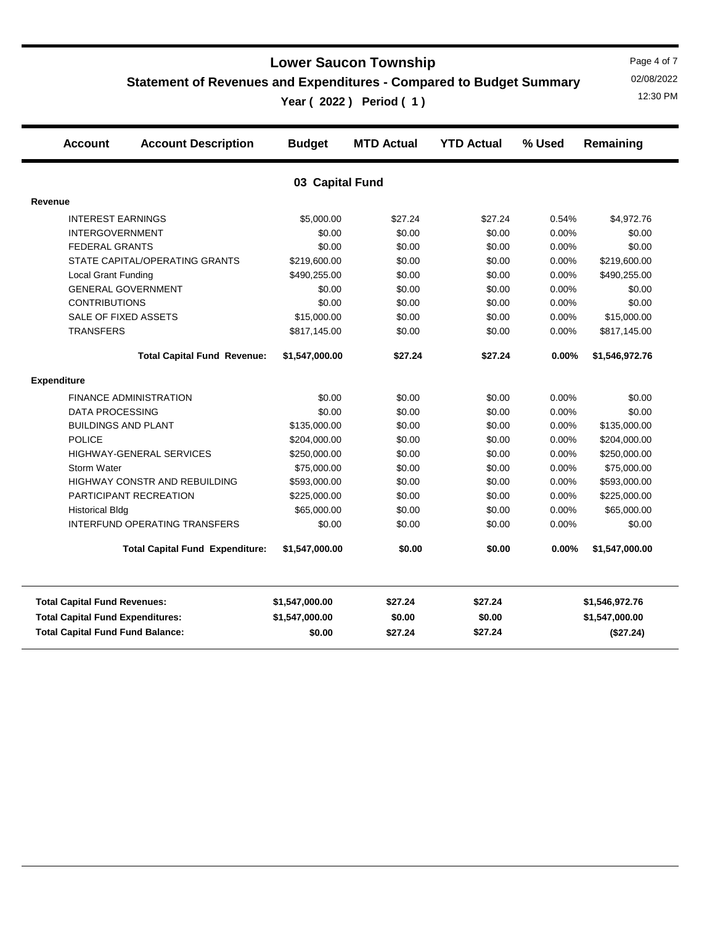**Statement of Revenues and Expenditures - Compared to Budget Summary**

**Year ( 2022 ) Period ( 1 )** 12:30 PM

Page 4 of 7 02/08/2022

|                                         | <b>Account</b>                          | <b>Account Description</b>             | <b>Budget</b>   | <b>MTD Actual</b> | <b>YTD Actual</b> | % Used    | Remaining      |
|-----------------------------------------|-----------------------------------------|----------------------------------------|-----------------|-------------------|-------------------|-----------|----------------|
|                                         |                                         |                                        | 03 Capital Fund |                   |                   |           |                |
| Revenue                                 |                                         |                                        |                 |                   |                   |           |                |
|                                         | <b>INTEREST EARNINGS</b>                |                                        | \$5,000.00      | \$27.24           | \$27.24           | 0.54%     | \$4,972.76     |
|                                         | <b>INTERGOVERNMENT</b>                  |                                        | \$0.00          | \$0.00            | \$0.00            | 0.00%     | \$0.00         |
|                                         | <b>FEDERAL GRANTS</b>                   |                                        | \$0.00          | \$0.00            | \$0.00            | $0.00\%$  | \$0.00         |
|                                         |                                         | STATE CAPITAL/OPERATING GRANTS         | \$219,600.00    | \$0.00            | \$0.00            | 0.00%     | \$219,600.00   |
|                                         | <b>Local Grant Funding</b>              |                                        | \$490,255.00    | \$0.00            | \$0.00            | 0.00%     | \$490,255.00   |
|                                         | <b>GENERAL GOVERNMENT</b>               |                                        | \$0.00          | \$0.00            | \$0.00            | 0.00%     | \$0.00         |
|                                         | <b>CONTRIBUTIONS</b>                    |                                        | \$0.00          | \$0.00            | \$0.00            | 0.00%     | \$0.00         |
|                                         | SALE OF FIXED ASSETS                    |                                        | \$15,000.00     | \$0.00            | \$0.00            | 0.00%     | \$15,000.00    |
|                                         | <b>TRANSFERS</b>                        |                                        | \$817,145.00    | \$0.00            | \$0.00            | 0.00%     | \$817,145.00   |
|                                         |                                         | <b>Total Capital Fund Revenue:</b>     | \$1,547,000.00  | \$27.24           | \$27.24           | 0.00%     | \$1,546,972.76 |
|                                         | <b>Expenditure</b>                      |                                        |                 |                   |                   |           |                |
|                                         |                                         | <b>FINANCE ADMINISTRATION</b>          | \$0.00          | \$0.00            | \$0.00            | 0.00%     | \$0.00         |
|                                         | <b>DATA PROCESSING</b>                  |                                        | \$0.00          | \$0.00            | \$0.00            | $0.00\%$  | \$0.00         |
|                                         | <b>BUILDINGS AND PLANT</b>              |                                        | \$135,000.00    | \$0.00            | \$0.00            | 0.00%     | \$135,000.00   |
|                                         | <b>POLICE</b>                           |                                        | \$204,000.00    | \$0.00            | \$0.00            | 0.00%     | \$204,000.00   |
|                                         |                                         | <b>HIGHWAY-GENERAL SERVICES</b>        | \$250,000.00    | \$0.00            | \$0.00            | 0.00%     | \$250,000.00   |
|                                         | Storm Water                             |                                        | \$75,000.00     | \$0.00            | \$0.00            | 0.00%     | \$75,000.00    |
|                                         |                                         | HIGHWAY CONSTR AND REBUILDING          | \$593,000.00    | \$0.00            | \$0.00            | 0.00%     | \$593,000.00   |
|                                         |                                         | PARTICIPANT RECREATION                 | \$225,000.00    | \$0.00            | \$0.00            | 0.00%     | \$225,000.00   |
|                                         | <b>Historical Bldg</b>                  |                                        | \$65,000.00     | \$0.00            | \$0.00            | 0.00%     | \$65,000.00    |
|                                         |                                         | <b>INTERFUND OPERATING TRANSFERS</b>   | \$0.00          | \$0.00            | \$0.00            | $0.00\%$  | \$0.00         |
|                                         |                                         | <b>Total Capital Fund Expenditure:</b> | \$1,547,000.00  | \$0.00            | \$0.00            | $0.00\%$  | \$1,547,000.00 |
|                                         | <b>Total Capital Fund Revenues:</b>     |                                        | \$1,547,000.00  | \$27.24           | \$27.24           |           | \$1,546,972.76 |
|                                         | <b>Total Capital Fund Expenditures:</b> |                                        | \$1,547,000.00  | \$0.00            | \$0.00            |           | \$1,547,000.00 |
| <b>Total Capital Fund Fund Balance:</b> |                                         | \$0.00                                 | \$27.24         | \$27.24           |                   | (\$27.24) |                |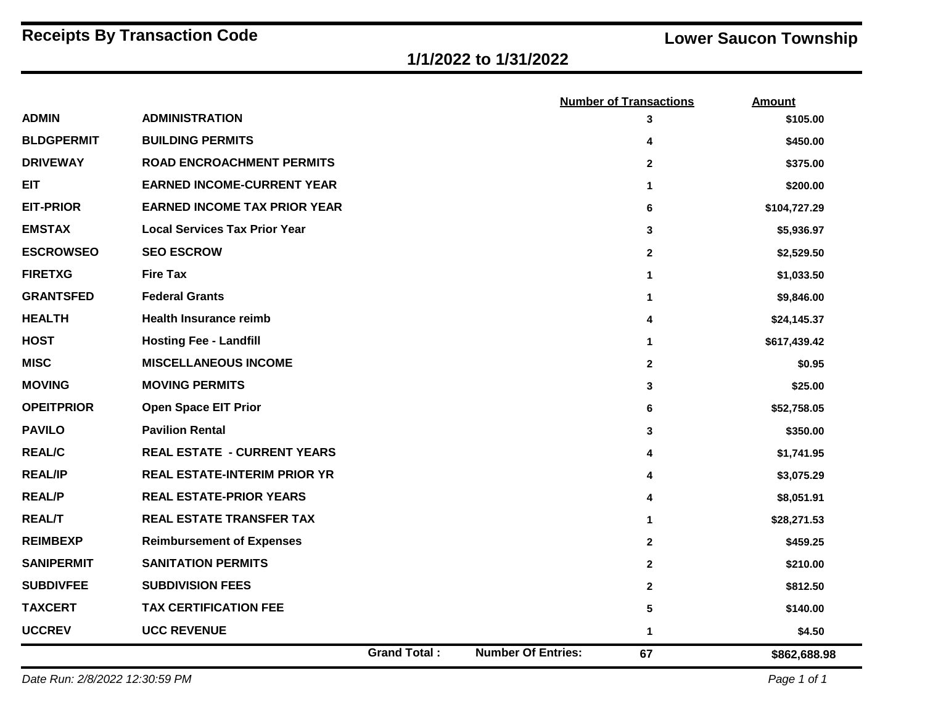## **1/1/2022 to 1/31/2022**

|                   |                                      |                     |                           | <b>Number of Transactions</b> | <b>Amount</b> |
|-------------------|--------------------------------------|---------------------|---------------------------|-------------------------------|---------------|
| <b>ADMIN</b>      | <b>ADMINISTRATION</b>                |                     |                           | 3                             | \$105.00      |
| <b>BLDGPERMIT</b> | <b>BUILDING PERMITS</b>              |                     |                           | 4                             | \$450.00      |
| <b>DRIVEWAY</b>   | <b>ROAD ENCROACHMENT PERMITS</b>     |                     |                           | $\mathbf{2}$                  | \$375.00      |
| <b>EIT</b>        | <b>EARNED INCOME-CURRENT YEAR</b>    |                     |                           | 1.                            | \$200.00      |
| <b>EIT-PRIOR</b>  | <b>EARNED INCOME TAX PRIOR YEAR</b>  |                     |                           | 6                             | \$104,727.29  |
| <b>EMSTAX</b>     | <b>Local Services Tax Prior Year</b> |                     |                           | 3                             | \$5,936.97    |
| <b>ESCROWSEO</b>  | <b>SEO ESCROW</b>                    |                     |                           | $\mathbf{2}$                  | \$2,529.50    |
| <b>FIRETXG</b>    | <b>Fire Tax</b>                      |                     |                           | 1                             | \$1,033.50    |
| <b>GRANTSFED</b>  | <b>Federal Grants</b>                |                     |                           | 1                             | \$9,846.00    |
| <b>HEALTH</b>     | <b>Health Insurance reimb</b>        |                     |                           | 4                             | \$24,145.37   |
| <b>HOST</b>       | <b>Hosting Fee - Landfill</b>        |                     |                           | 1.                            | \$617,439.42  |
| <b>MISC</b>       | <b>MISCELLANEOUS INCOME</b>          |                     |                           | $\mathbf{2}$                  | \$0.95        |
| <b>MOVING</b>     | <b>MOVING PERMITS</b>                |                     |                           | 3                             | \$25.00       |
| <b>OPEITPRIOR</b> | <b>Open Space EIT Prior</b>          |                     |                           | 6                             | \$52,758.05   |
| <b>PAVILO</b>     | <b>Pavilion Rental</b>               |                     |                           | 3                             | \$350.00      |
| <b>REAL/C</b>     | <b>REAL ESTATE - CURRENT YEARS</b>   |                     |                           | 4                             | \$1,741.95    |
| <b>REAL/IP</b>    | <b>REAL ESTATE-INTERIM PRIOR YR</b>  |                     |                           | 4                             | \$3,075.29    |
| <b>REAL/P</b>     | <b>REAL ESTATE-PRIOR YEARS</b>       |                     |                           | 4                             | \$8,051.91    |
| <b>REAL/T</b>     | <b>REAL ESTATE TRANSFER TAX</b>      |                     |                           | 1                             | \$28,271.53   |
| <b>REIMBEXP</b>   | <b>Reimbursement of Expenses</b>     |                     |                           | $\mathbf{2}$                  | \$459.25      |
| <b>SANIPERMIT</b> | <b>SANITATION PERMITS</b>            |                     |                           | $\mathbf{2}$                  | \$210.00      |
| <b>SUBDIVFEE</b>  | <b>SUBDIVISION FEES</b>              |                     |                           | $\mathbf{2}$                  | \$812.50      |
| <b>TAXCERT</b>    | <b>TAX CERTIFICATION FEE</b>         |                     |                           | 5                             | \$140.00      |
| <b>UCCREV</b>     | <b>UCC REVENUE</b>                   |                     |                           | 1                             | \$4.50        |
|                   |                                      | <b>Grand Total:</b> | <b>Number Of Entries:</b> | 67                            | \$862,688.98  |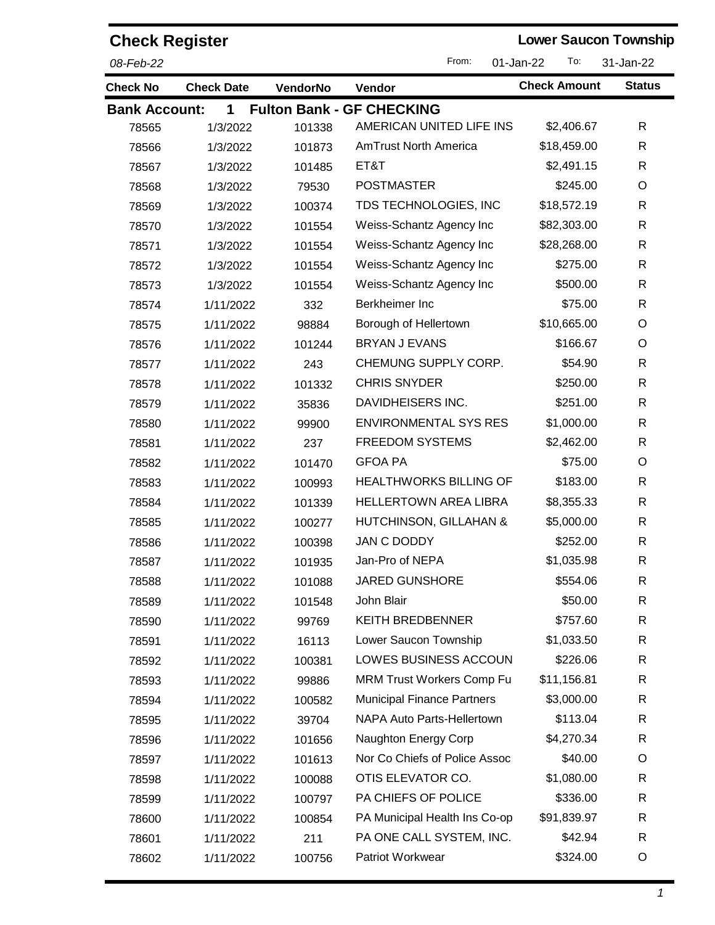| <b>Check Register</b> |                   |          |                                   | <b>Lower Saucon Township</b> |               |
|-----------------------|-------------------|----------|-----------------------------------|------------------------------|---------------|
| 08-Feb-22             |                   |          | From:                             | To:<br>01-Jan-22             | 31-Jan-22     |
| <b>Check No</b>       | <b>Check Date</b> | VendorNo | Vendor                            | <b>Check Amount</b>          | <b>Status</b> |
| <b>Bank Account:</b>  | $\mathbf 1$       |          | <b>Fulton Bank - GF CHECKING</b>  |                              |               |
| 78565                 | 1/3/2022          | 101338   | AMERICAN UNITED LIFE INS          | \$2,406.67                   | R             |
| 78566                 | 1/3/2022          | 101873   | <b>AmTrust North America</b>      | \$18,459.00                  | R             |
| 78567                 | 1/3/2022          | 101485   | ET&T                              | \$2,491.15                   | R             |
| 78568                 | 1/3/2022          | 79530    | <b>POSTMASTER</b>                 | \$245.00                     | O             |
| 78569                 | 1/3/2022          | 100374   | TDS TECHNOLOGIES, INC             | \$18,572.19                  | R             |
| 78570                 | 1/3/2022          | 101554   | Weiss-Schantz Agency Inc          | \$82,303.00                  | R             |
| 78571                 | 1/3/2022          | 101554   | Weiss-Schantz Agency Inc          | \$28,268.00                  | R             |
| 78572                 | 1/3/2022          | 101554   | Weiss-Schantz Agency Inc          | \$275.00                     | R             |
| 78573                 | 1/3/2022          | 101554   | Weiss-Schantz Agency Inc          | \$500.00                     | R             |
| 78574                 | 1/11/2022         | 332      | Berkheimer Inc                    | \$75.00                      | R             |
| 78575                 | 1/11/2022         | 98884    | Borough of Hellertown             | \$10,665.00                  | O             |
| 78576                 | 1/11/2022         | 101244   | <b>BRYAN J EVANS</b>              | \$166.67                     | O             |
| 78577                 | 1/11/2022         | 243      | CHEMUNG SUPPLY CORP.              | \$54.90                      | R             |
| 78578                 | 1/11/2022         | 101332   | <b>CHRIS SNYDER</b>               | \$250.00                     | $\mathsf{R}$  |
| 78579                 | 1/11/2022         | 35836    | DAVIDHEISERS INC.                 | \$251.00                     | R             |
| 78580                 | 1/11/2022         | 99900    | <b>ENVIRONMENTAL SYS RES</b>      | \$1,000.00                   | R             |
| 78581                 | 1/11/2022         | 237      | <b>FREEDOM SYSTEMS</b>            | \$2,462.00                   | R             |
| 78582                 | 1/11/2022         | 101470   | <b>GFOA PA</b>                    | \$75.00                      | O             |
| 78583                 | 1/11/2022         | 100993   | <b>HEALTHWORKS BILLING OF</b>     | \$183.00                     | $\mathsf{R}$  |
| 78584                 | 1/11/2022         | 101339   | <b>HELLERTOWN AREA LIBRA</b>      | \$8,355.33                   | R             |
| 78585                 | 1/11/2022         | 100277   | HUTCHINSON, GILLAHAN &            | \$5,000.00                   | R             |
| 78586                 | 1/11/2022         | 100398   | <b>JAN C DODDY</b>                | \$252.00                     | $\mathsf{R}$  |
| 78587                 | 1/11/2022         | 101935   | Jan-Pro of NEPA                   | \$1,035.98                   | R             |
| 78588                 | 1/11/2022         | 101088   | <b>JARED GUNSHORE</b>             | \$554.06                     | R             |
| 78589                 | 1/11/2022         | 101548   | John Blair                        | \$50.00                      | R             |
| 78590                 | 1/11/2022         | 99769    | <b>KEITH BREDBENNER</b>           | \$757.60                     | R             |
| 78591                 | 1/11/2022         | 16113    | Lower Saucon Township             | \$1,033.50                   | R             |
| 78592                 | 1/11/2022         | 100381   | LOWES BUSINESS ACCOUN             | \$226.06                     | R             |
| 78593                 | 1/11/2022         | 99886    | <b>MRM Trust Workers Comp Fu</b>  | \$11,156.81                  | R             |
| 78594                 | 1/11/2022         | 100582   | <b>Municipal Finance Partners</b> | \$3,000.00                   | R             |
| 78595                 | 1/11/2022         | 39704    | NAPA Auto Parts-Hellertown        | \$113.04                     | R             |
| 78596                 | 1/11/2022         | 101656   | Naughton Energy Corp              | \$4,270.34                   | R             |
| 78597                 | 1/11/2022         | 101613   | Nor Co Chiefs of Police Assoc     | \$40.00                      | O             |
| 78598                 | 1/11/2022         | 100088   | OTIS ELEVATOR CO.                 | \$1,080.00                   | R             |
| 78599                 | 1/11/2022         | 100797   | PA CHIEFS OF POLICE               | \$336.00                     | R             |
| 78600                 | 1/11/2022         | 100854   | PA Municipal Health Ins Co-op     | \$91,839.97                  | R             |
| 78601                 | 1/11/2022         | 211      | PA ONE CALL SYSTEM, INC.          | \$42.94                      | R             |
| 78602                 | 1/11/2022         | 100756   | Patriot Workwear                  | \$324.00                     | O             |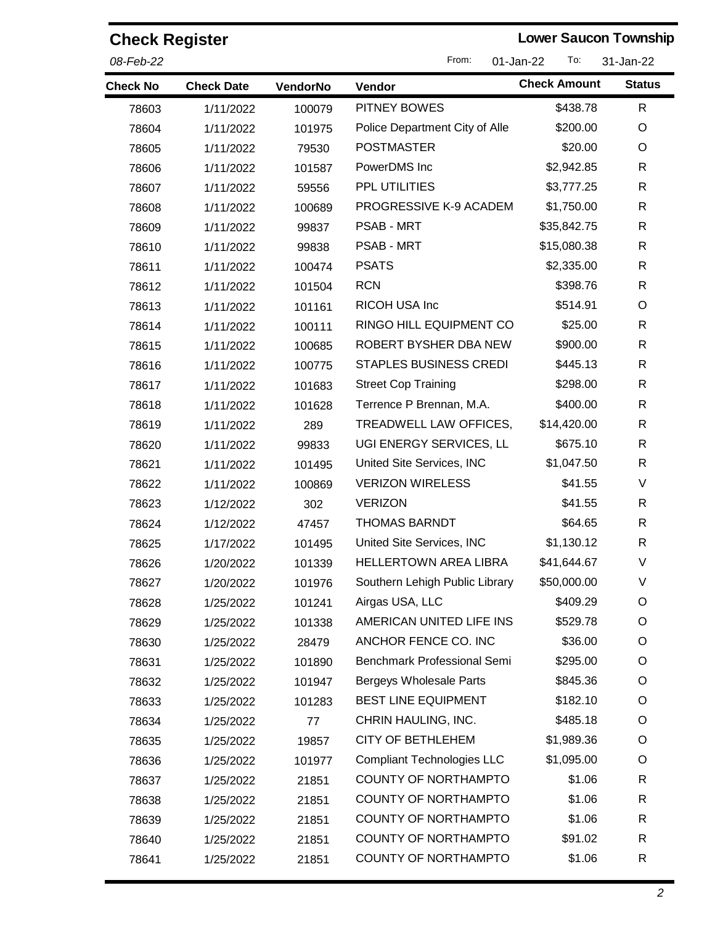| <b>Check Register</b> |                   | <b>Lower Saucon Township</b> |                                   |                     |               |
|-----------------------|-------------------|------------------------------|-----------------------------------|---------------------|---------------|
| 08-Feb-22             |                   |                              | From:<br>01-Jan-22                | 31-Jan-22           |               |
| <b>Check No</b>       | <b>Check Date</b> | <b>VendorNo</b>              | Vendor                            | <b>Check Amount</b> | <b>Status</b> |
| 78603                 | 1/11/2022         | 100079                       | <b>PITNEY BOWES</b>               | \$438.78            | R             |
| 78604                 | 1/11/2022         | 101975                       | Police Department City of Alle    | \$200.00            | O             |
| 78605                 | 1/11/2022         | 79530                        | <b>POSTMASTER</b>                 | \$20.00             | O             |
| 78606                 | 1/11/2022         | 101587                       | PowerDMS Inc                      | \$2,942.85          | R             |
| 78607                 | 1/11/2022         | 59556                        | PPL UTILITIES                     | \$3,777.25          | R             |
| 78608                 | 1/11/2022         | 100689                       | PROGRESSIVE K-9 ACADEM            | \$1,750.00          | R             |
| 78609                 | 1/11/2022         | 99837                        | <b>PSAB - MRT</b>                 | \$35,842.75         | R             |
| 78610                 | 1/11/2022         | 99838                        | <b>PSAB - MRT</b>                 | \$15,080.38         | R             |
| 78611                 | 1/11/2022         | 100474                       | <b>PSATS</b>                      | \$2,335.00          | R             |
| 78612                 | 1/11/2022         | 101504                       | <b>RCN</b>                        | \$398.76            | $\mathsf{R}$  |
| 78613                 | 1/11/2022         | 101161                       | RICOH USA Inc                     | \$514.91            | O             |
| 78614                 | 1/11/2022         | 100111                       | RINGO HILL EQUIPMENT CO           | \$25.00             | R             |
| 78615                 | 1/11/2022         | 100685                       | ROBERT BYSHER DBA NEW             | \$900.00            | R             |
| 78616                 | 1/11/2022         | 100775                       | <b>STAPLES BUSINESS CREDI</b>     | \$445.13            | R             |
| 78617                 | 1/11/2022         | 101683                       | <b>Street Cop Training</b>        | \$298.00            | R             |
| 78618                 | 1/11/2022         | 101628                       | Terrence P Brennan, M.A.          | \$400.00            | R             |
| 78619                 | 1/11/2022         | 289                          | TREADWELL LAW OFFICES,            | \$14,420.00         | R             |
| 78620                 | 1/11/2022         | 99833                        | UGI ENERGY SERVICES, LL           | \$675.10            | R             |
| 78621                 | 1/11/2022         | 101495                       | United Site Services, INC         | \$1,047.50          | R             |
| 78622                 | 1/11/2022         | 100869                       | <b>VERIZON WIRELESS</b>           | \$41.55             | V             |
| 78623                 | 1/12/2022         | 302                          | <b>VERIZON</b>                    | \$41.55             | R             |
| 78624                 | 1/12/2022         | 47457                        | <b>THOMAS BARNDT</b>              | \$64.65             | R             |
| 78625                 | 1/17/2022         | 101495                       | United Site Services, INC         | \$1,130.12          | R             |
| 78626                 | 1/20/2022         | 101339                       | <b>HELLERTOWN AREA LIBRA</b>      | \$41,644.67         | V             |
| 78627                 | 1/20/2022         | 101976                       | Southern Lehigh Public Library    | \$50,000.00         | V             |
| 78628                 | 1/25/2022         | 101241                       | Airgas USA, LLC                   | \$409.29            | O             |
| 78629                 | 1/25/2022         | 101338                       | AMERICAN UNITED LIFE INS          | \$529.78            | O             |
| 78630                 | 1/25/2022         | 28479                        | ANCHOR FENCE CO. INC              | \$36.00             | O             |
| 78631                 | 1/25/2022         | 101890                       | Benchmark Professional Semi       | \$295.00            | O             |
| 78632                 | 1/25/2022         | 101947                       | <b>Bergeys Wholesale Parts</b>    | \$845.36            | O             |
| 78633                 | 1/25/2022         | 101283                       | BEST LINE EQUIPMENT               | \$182.10            | O             |
| 78634                 | 1/25/2022         | 77                           | CHRIN HAULING, INC.               | \$485.18            | O             |
| 78635                 | 1/25/2022         | 19857                        | <b>CITY OF BETHLEHEM</b>          | \$1,989.36          | O             |
| 78636                 | 1/25/2022         | 101977                       | <b>Compliant Technologies LLC</b> | \$1,095.00          | O             |
| 78637                 | 1/25/2022         | 21851                        | <b>COUNTY OF NORTHAMPTO</b>       | \$1.06              | R             |
| 78638                 | 1/25/2022         | 21851                        | <b>COUNTY OF NORTHAMPTO</b>       | \$1.06              | R             |
| 78639                 | 1/25/2022         | 21851                        | <b>COUNTY OF NORTHAMPTO</b>       | \$1.06              | R             |
| 78640                 | 1/25/2022         | 21851                        | <b>COUNTY OF NORTHAMPTO</b>       | \$91.02             | R             |
| 78641                 | 1/25/2022         | 21851                        | COUNTY OF NORTHAMPTO              | \$1.06              | R             |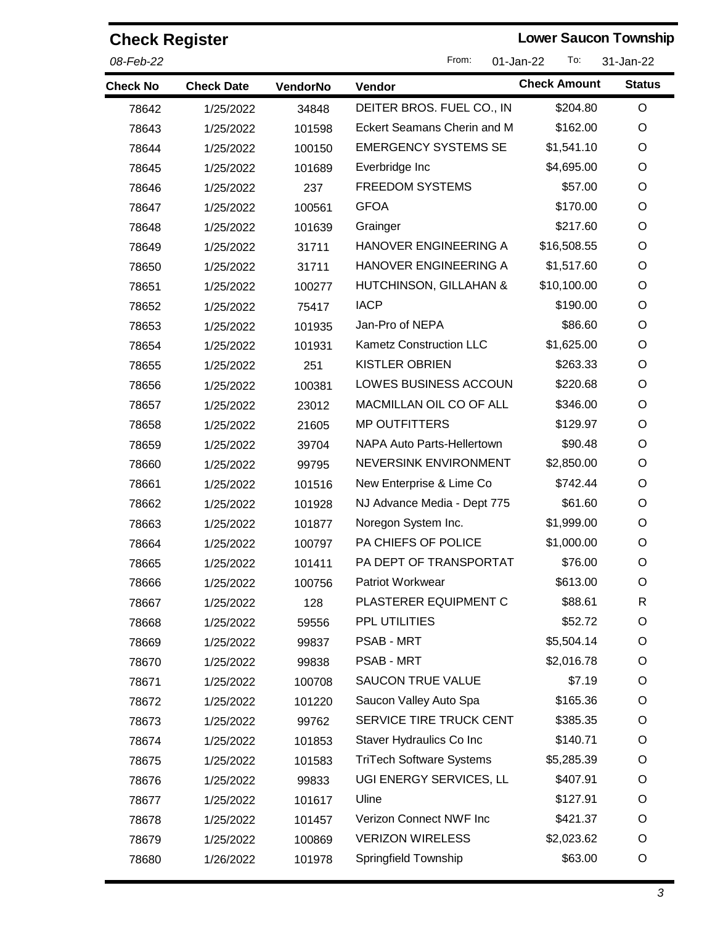| <b>Check Register</b> |                   |          |                                        | <b>Lower Saucon Township</b> |               |  |
|-----------------------|-------------------|----------|----------------------------------------|------------------------------|---------------|--|
| 08-Feb-22             |                   |          | From:<br>To:<br>31-Jan-22<br>01-Jan-22 |                              |               |  |
| <b>Check No</b>       | <b>Check Date</b> | VendorNo | Vendor                                 | <b>Check Amount</b>          | <b>Status</b> |  |
| 78642                 | 1/25/2022         | 34848    | DEITER BROS. FUEL CO., IN              | \$204.80                     | O             |  |
| 78643                 | 1/25/2022         | 101598   | Eckert Seamans Cherin and M            | \$162.00                     | O             |  |
| 78644                 | 1/25/2022         | 100150   | <b>EMERGENCY SYSTEMS SE</b>            | \$1,541.10                   | O             |  |
| 78645                 | 1/25/2022         | 101689   | Everbridge Inc                         | \$4,695.00                   | O             |  |
| 78646                 | 1/25/2022         | 237      | <b>FREEDOM SYSTEMS</b>                 | \$57.00                      | O             |  |
| 78647                 | 1/25/2022         | 100561   | <b>GFOA</b>                            | \$170.00                     | O             |  |
| 78648                 | 1/25/2022         | 101639   | Grainger                               | \$217.60                     | O             |  |
| 78649                 | 1/25/2022         | 31711    | <b>HANOVER ENGINEERING A</b>           | \$16,508.55                  | O             |  |
| 78650                 | 1/25/2022         | 31711    | HANOVER ENGINEERING A                  | \$1,517.60                   | O             |  |
| 78651                 | 1/25/2022         | 100277   | HUTCHINSON, GILLAHAN &                 | \$10,100.00                  | O             |  |
| 78652                 | 1/25/2022         | 75417    | <b>IACP</b>                            | \$190.00                     | O             |  |
| 78653                 | 1/25/2022         | 101935   | Jan-Pro of NEPA                        | \$86.60                      | O             |  |
| 78654                 | 1/25/2022         | 101931   | <b>Kametz Construction LLC</b>         | \$1,625.00                   | O             |  |
| 78655                 | 1/25/2022         | 251      | <b>KISTLER OBRIEN</b>                  | \$263.33                     | O             |  |
| 78656                 | 1/25/2022         | 100381   | LOWES BUSINESS ACCOUN                  | \$220.68                     | O             |  |
| 78657                 | 1/25/2022         | 23012    | MACMILLAN OIL CO OF ALL                | \$346.00                     | O             |  |
| 78658                 | 1/25/2022         | 21605    | <b>MP OUTFITTERS</b>                   | \$129.97                     | O             |  |
| 78659                 | 1/25/2022         | 39704    | NAPA Auto Parts-Hellertown             | \$90.48                      | O             |  |
| 78660                 | 1/25/2022         | 99795    | NEVERSINK ENVIRONMENT                  | \$2,850.00                   | O             |  |
| 78661                 | 1/25/2022         | 101516   | New Enterprise & Lime Co               | \$742.44                     | O             |  |
| 78662                 | 1/25/2022         | 101928   | NJ Advance Media - Dept 775            | \$61.60                      | O             |  |
| 78663                 | 1/25/2022         | 101877   | Noregon System Inc.                    | \$1,999.00                   | O             |  |
| 78664                 | 1/25/2022         | 100797   | PA CHIEFS OF POLICE                    | \$1,000.00                   | O             |  |
| 78665                 | 1/25/2022         | 101411   | PA DEPT OF TRANSPORTAT                 | \$76.00                      | O             |  |
| 78666                 | 1/25/2022         | 100756   | Patriot Workwear                       | \$613.00                     | O             |  |
| 78667                 | 1/25/2022         | 128      | PLASTERER EQUIPMENT C                  | \$88.61                      | R             |  |
| 78668                 | 1/25/2022         | 59556    | PPL UTILITIES                          | \$52.72                      | O             |  |
| 78669                 | 1/25/2022         | 99837    | <b>PSAB - MRT</b>                      | \$5,504.14                   | O             |  |
| 78670                 | 1/25/2022         | 99838    | <b>PSAB - MRT</b>                      | \$2,016.78                   | O             |  |
| 78671                 | 1/25/2022         | 100708   | <b>SAUCON TRUE VALUE</b>               | \$7.19                       | O             |  |
| 78672                 | 1/25/2022         | 101220   | Saucon Valley Auto Spa                 | \$165.36                     | O             |  |
| 78673                 | 1/25/2022         | 99762    | SERVICE TIRE TRUCK CENT                | \$385.35                     | O             |  |
| 78674                 | 1/25/2022         | 101853   | Staver Hydraulics Co Inc               | \$140.71                     | O             |  |
| 78675                 | 1/25/2022         | 101583   | <b>TriTech Software Systems</b>        | \$5,285.39                   | O             |  |
| 78676                 | 1/25/2022         | 99833    | UGI ENERGY SERVICES, LL                | \$407.91                     | O             |  |
| 78677                 | 1/25/2022         | 101617   | Uline                                  | \$127.91                     | O             |  |
| 78678                 | 1/25/2022         | 101457   | Verizon Connect NWF Inc                | \$421.37                     | O             |  |
| 78679                 | 1/25/2022         | 100869   | <b>VERIZON WIRELESS</b>                | \$2,023.62                   | O             |  |
| 78680                 | 1/26/2022         | 101978   | Springfield Township                   | \$63.00                      | O             |  |